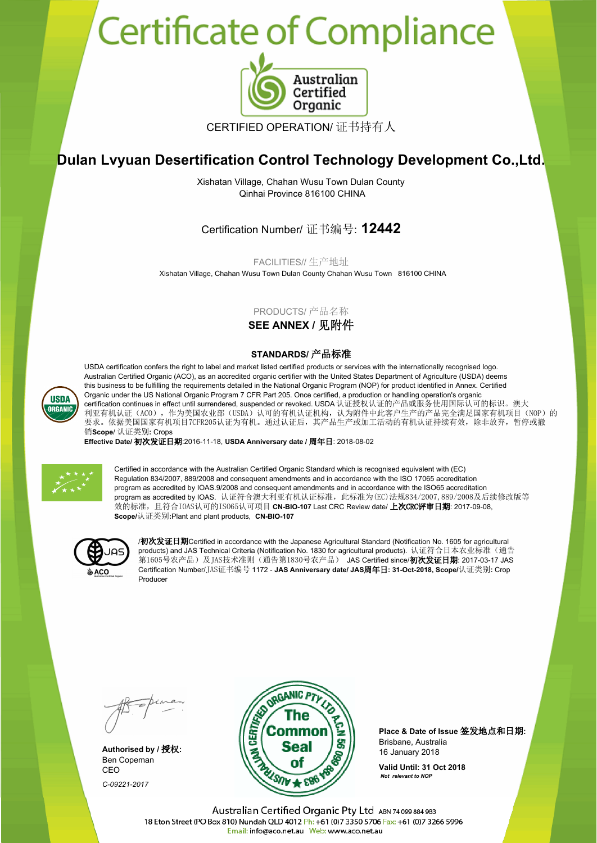## Certificate of Compliance



CERTIFIED OPERATION/ 证书持有人

## **Dulan Lvyuan Desertification Control Technology Development Co.,Ltd.**

Xishatan Village, Chahan Wusu Town Dulan County Qinhai Province 816100 CHINA

Certification Number/ 证书编号: **12442**

FACILITIES// 生产地址

Xishatan Village, Chahan Wusu Town Dulan County Chahan Wusu Town 816100 CHINA

## PRODUCTS/ 产品名称

**SEE ANNEX /** 见附件

## **STANDARDS/** 产品标准

USDA certification confers the right to label and market listed certified products or services with the internationally recognised logo. Australian Certified Organic (ACO), as an accredited organic certifier with the United States Department of Agriculture (USDA) deems this business to be fulfilling the requirements detailed in the National Organic Program (NOP) for product identified in Annex. Certified Organic under the US National Organic Program 7 CFR Part 205. Once certified, a production or handling operation's organic certification continues in effect until surrendered, suspended or revoked. USDA 认证授权认证的产品或服务使用国际认可的标识。澳大 利亚有机认证(ACO),作为美国农业部(USDA)认可的有机认证机构,认为附件中此客户生产的产品完全满足国家有机项目(NOP)的 要求。依据美国国家有机项目7CFR205认证为有机。通过认证后,其产品生产或加工活动的有机认证持续有效,除非放弃,暂停或撤 销**Scope**/ 认证类别**:** Crops

**Effective Date/** 初次发证日期:2016-11-18, **USDA Anniversary date /** 周年日: 2018-08-02



Certified in accordance with the Australian Certified Organic Standard which is recognised equivalent with (EC) Regulation 834/2007, 889/2008 and consequent amendments and in accordance with the ISO 17065 accreditation program as accredited by IOAS.9/2008 and consequent amendments and in accordance with the ISO65 accreditation program as accredited by IOAS. 认证符合澳大利亚有机认证标准, 此标准为(EC)法规834/2007,889/2008及后续修改版等 效的标准,且符合IOAS认可的ISO65认可项目 **CN-BIO-107** Last CRC Review date/ 上次CRC评审日期: 2017-09-08, **Scope/**认证类别**:**Plant and plant products, **CN-BIO-107**



/初次发证日期Certified in accordance with the Japanese Agricultural Standard (Notification No. 1605 for agricultural products) and JAS Technical Criteria (Notification No. 1830 for agricultural products). 认证符合日本农业标准(通告 .<br>第1605号农产品)及JAS技术准则(通告第1830号农产品) JAS Certified since/**初次发证日期**: 2017-03-17 JAS Certification Number/JAS证书编号 1172 - **JAS Anniversary date/ JAS**周年日**: 31-Oct-2018, Scope/**认证类别**:** Crop Producer

Ben Copeman CEO *C-09221-2017*



**Place & Date of Issue** 签发地点和日期**:** Brisbane, Australia

**Valid Until: 31 Oct 2018**  *Not relevant to NOP*

Australian Certified Organic Pty Ltd ABN 74 099 884 983 18 Eton Street (PO Box 810) Nundah QLD 4012 Ph: +61 (0)7 3350 5706 Fax: +61 (0)7 3266 5996 Email: info@aco.net.au Web: www.aco.net.au